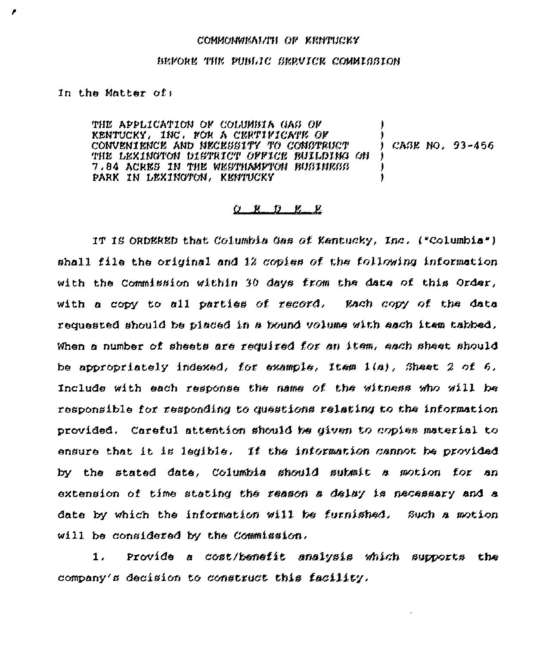## COMMONWEAL/IT OF KENTUCKY

## BEFORE THE PUBLIC SERVICE COMMISSION

In the Matter of:

THE APPLICATION OF COLUMBIA GAS OF KENTUCKY, INC. FOR A CERTIFICATE OF CONVENIENCE AND NECESSITY TO CONSTRUCT  $($  CASE NO. 93-456 THE LEXINGTON DISTRICT OFFICE BUILDING ON 7.84 ACRES IN THE WESTHAMPTON BUSINESS PARK IN LEXINGTON, KENTUCKY

## $R$   $D$   $R$   $R$

IT IS ORDERED that Columbia Gas of Kentucky, Inc. ("Columbia") shall file the original and 12 copies of the following information with the Commission within 30 days from the date of this Order, with a copy to all parties of record. Each copy of the data requested should be placed in a bound volume with each item tabbed. When a number of sheets are required for an item, each sheet should be appropriately indexed, for example, Item  $1(a)$ , Sheet 2 of 6, Include with each response the name of the witness who will be responsible for responding to questions relating to the information provided. Careful attention should be given to copies material to ensure that it is legible. If the information cannot be provided by the stated date, Columbia should submit a motion for an extension of time stating the reason a delay is necessary and a date by which the information will be furnished. Such a motion will be considered by the Commission.

Provide a cost/benefit analysis which supports the  $1.$ company's decision to construct this facility.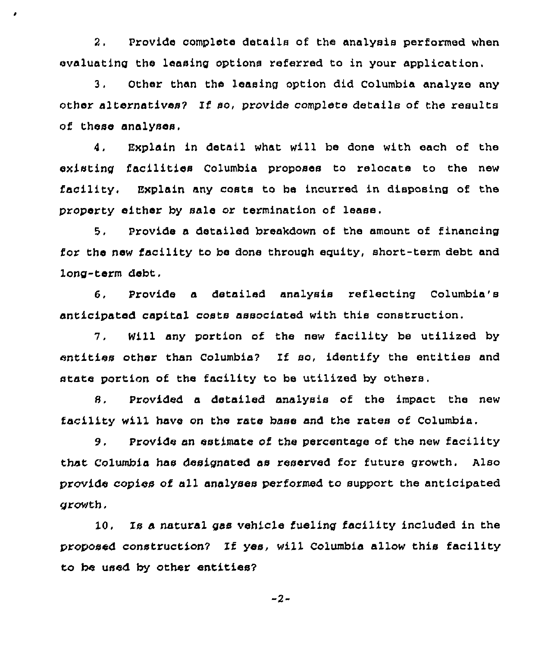2. Provide complete details of the analysis performed when evaluating the leasing options referred to in your application.

٠

3. Other than the leasing option did Columbia analyze any other alternatives? If so, provide complete details of the results of these analyses.

4. Explain in detail what will be done with each of the existing facilities Columbia proposes to relocate to the new facility. Explain any costs to be incurred in disposing of the property either by sale or termination of lease.

5. Provide a detailed breakdown of the amount of financing for the new facility to be done through equity, short-term debt and long-term debt,

6, Provide a detailed analysis reflecting Columbia's anticipated capital costs associated with this construction,

7. Will any portion of the new facility be utilized by entities other than Columbia? If so, identify the entities and state portion of the facility to be utilized by others,

8, Provided a detailed analysis of the impact the new facility will have on the rate base and the rates of Columbia.

9. Provide an estimate of the percentage of the new facility that Columbia has designated as reserved for future growth. Also provide copies of all analyses performed to support the anticipated growth.

10, Ts a natural gss vehicle fueling facility included in the proposed construction2 lf yes, will Columbia allow this facility to be used by other entities?

 $-2-$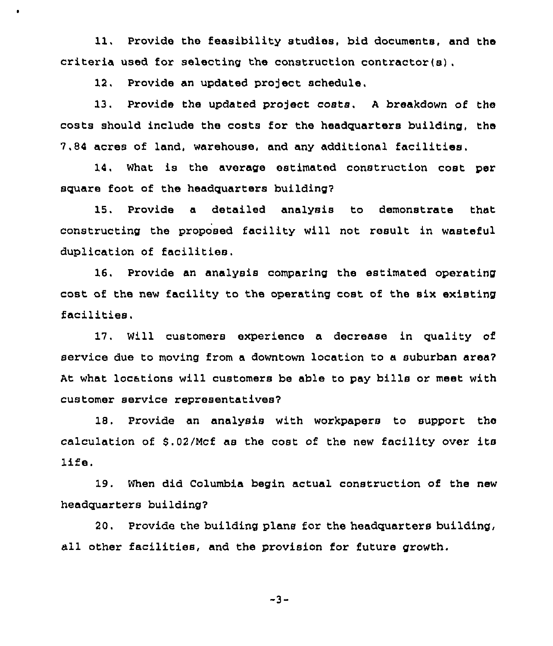11. Provide the feasibility studies, bid documents, and the criteria used for selecting the construction contractor(s),

12. Provide an updated project schedule.

13. Provide the updated project costs. A breakdown of the costs should include the costs for the headquarters building, the 7.84 acres of land, warehouse, and any additional facilities.

14. What is the average estimated construction cost per square foot of the headquarters building?

15, Provide a detailed analysis to demonstrate that constructing the proposed facility will not result in wasteful duplication of facilities.

16. Provide an analysis comparing the estimated operating cost of the new facility to the operating cost of the six existing facilities.

17. Will customers experience a decrease in quality of service due to moving from a downtown location to a suburban area? At what locations will customers be able to pay bills or meet with customer service representatives?

18. Provide an analysis with workpapers to support the calculation of \$.02/Mcf as the cost of the new facility over its life.

19. When did Columbia begin actual construction of the new headquarters building?

20, Provide the building plans for the headquarters building, all other facilities, and the provision for future growth.

 $-3-$